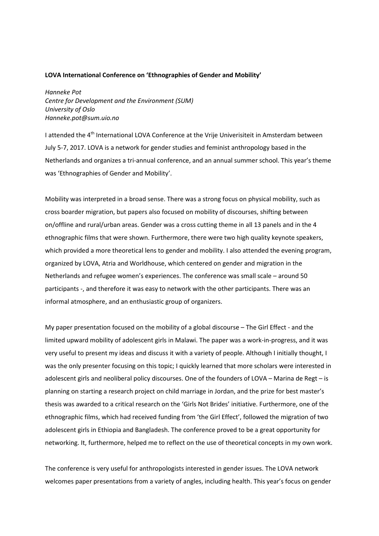## **LOVA International Conference on 'Ethnographies of Gender and Mobility'**

*Hanneke Pot Centre for Development and the Environment (SUM) University of Oslo Hanneke.pot@sum.uio.no*

I attended the 4<sup>th</sup> International LOVA Conference at the Vrije Univerisiteit in Amsterdam between July 5-7, 2017. LOVA is a network for gender studies and feminist anthropology based in the Netherlands and organizes a tri-annual conference, and an annual summer school. This year's theme was 'Ethnographies of Gender and Mobility'.

Mobility was interpreted in a broad sense. There was a strong focus on physical mobility, such as cross boarder migration, but papers also focused on mobility of discourses, shifting between on/offline and rural/urban areas. Gender was a cross cutting theme in all 13 panels and in the 4 ethnographic films that were shown. Furthermore, there were two high quality keynote speakers, which provided a more theoretical lens to gender and mobility. I also attended the evening program, organized by LOVA, Atria and Worldhouse, which centered on gender and migration in the Netherlands and refugee women's experiences. The conference was small scale – around 50 participants -, and therefore it was easy to network with the other participants. There was an informal atmosphere, and an enthusiastic group of organizers.

My paper presentation focused on the mobility of a global discourse – The Girl Effect - and the limited upward mobility of adolescent girls in Malawi. The paper was a work-in-progress, and it was very useful to present my ideas and discuss it with a variety of people. Although I initially thought, I was the only presenter focusing on this topic; I quickly learned that more scholars were interested in adolescent girls and neoliberal policy discourses. One of the founders of LOVA – Marina de Regt – is planning on starting a research project on child marriage in Jordan, and the prize for best master's thesis was awarded to a critical research on the 'Girls Not Brides' initiative. Furthermore, one of the ethnographic films, which had received funding from 'the Girl Effect', followed the migration of two adolescent girls in Ethiopia and Bangladesh. The conference proved to be a great opportunity for networking. It, furthermore, helped me to reflect on the use of theoretical concepts in my own work.

The conference is very useful for anthropologists interested in gender issues. The LOVA network welcomes paper presentations from a variety of angles, including health. This year's focus on gender